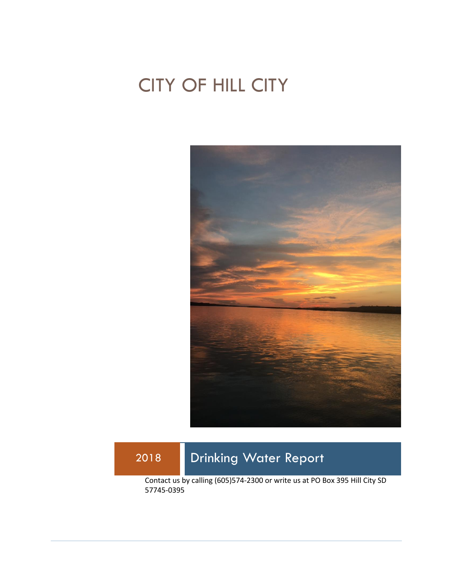# CITY OF HILL CITY



# 2018 Drinking Water Report

Contact us by calling (605)574-2300 or write us at PO Box 395 Hill City SD 57745-0395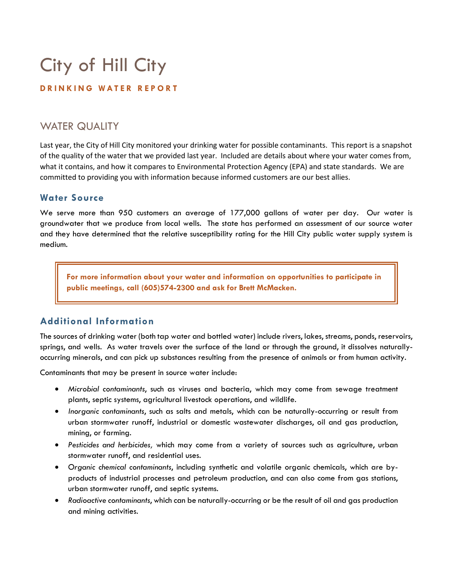# City of Hill City

#### **D R I N K I N G W A T E R R E P O R T**

## WATER QUALITY

Last year, the City of Hill City monitored your drinking water for possible contaminants. This report is a snapshot of the quality of the water that we provided last year. Included are details about where your water comes from, what it contains, and how it compares to Environmental Protection Agency (EPA) and state standards. We are committed to providing you with information because informed customers are our best allies.

#### **Water Source**

We serve more than 950 customers an average of 177,000 gallons of water per day. Our water is groundwater that we produce from local wells. The state has performed an assessment of our source water and they have determined that the relative susceptibility rating for the Hill City public water supply system is medium.

**For more information about your water and information on opportunities to participate in public meetings, call (605)574-2300 and ask for Brett McMacken.**

### **Additional Information**

The sources of drinking water (both tap water and bottled water) include rivers, lakes, streams, ponds, reservoirs, springs, and wells. As water travels over the surface of the land or through the ground, it dissolves naturallyoccurring minerals, and can pick up substances resulting from the presence of animals or from human activity.

Contaminants that may be present in source water include:

- *Microbial contaminants*, such as viruses and bacteria, which may come from sewage treatment plants, septic systems, agricultural livestock operations, and wildlife.
- *Inorganic contaminants*, such as salts and metals, which can be naturally-occurring or result from urban stormwater runoff, industrial or domestic wastewater discharges, oil and gas production, mining, or farming.
- *Pesticides and herbicides,* which may come from a variety of sources such as agriculture, urban stormwater runoff, and residential uses.
- *Organic chemical contaminants*, including synthetic and volatile organic chemicals, which are byproducts of industrial processes and petroleum production, and can also come from gas stations, urban stormwater runoff, and septic systems.
- *Radioactive contaminants*, which can be naturally-occurring or be the result of oil and gas production and mining activities.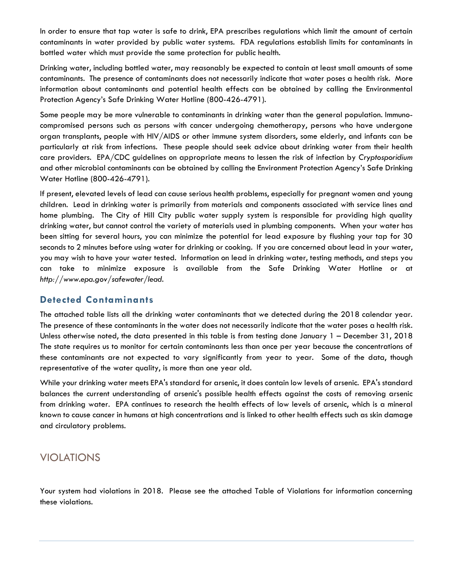In order to ensure that tap water is safe to drink, EPA prescribes regulations which limit the amount of certain contaminants in water provided by public water systems. FDA regulations establish limits for contaminants in bottled water which must provide the same protection for public health.

Drinking water, including bottled water, may reasonably be expected to contain at least small amounts of some contaminants. The presence of contaminants does not necessarily indicate that water poses a health risk. More information about contaminants and potential health effects can be obtained by calling the Environmental Protection Agency's Safe Drinking Water Hotline (800-426-4791).

Some people may be more vulnerable to contaminants in drinking water than the general population. Immunocompromised persons such as persons with cancer undergoing chemotherapy, persons who have undergone organ transplants, people with HIV/AIDS or other immune system disorders, some elderly, and infants can be particularly at risk from infections. These people should seek advice about drinking water from their health care providers. EPA/CDC guidelines on appropriate means to lessen the risk of infection by *Cryptosporidium* and other microbial contaminants can be obtained by calling the Environment Protection Agency's Safe Drinking Water Hotline (800-426-4791).

If present, elevated levels of lead can cause serious health problems, especially for pregnant women and young children. Lead in drinking water is primarily from materials and components associated with service lines and home plumbing. The City of Hill City public water supply system is responsible for providing high quality drinking water, but cannot control the variety of materials used in plumbing components. When your water has been sitting for several hours, you can minimize the potential for lead exposure by flushing your tap for 30 seconds to 2 minutes before using water for drinking or cooking. If you are concerned about lead in your water, you may wish to have your water tested. Information on lead in drinking water, testing methods, and steps you can take to minimize exposure is available from the Safe Drinking Water Hotline or at *http://www.epa.gov/safewater/lead*.

#### **Detected Contaminants**

The attached table lists all the drinking water contaminants that we detected during the 2018 calendar year. The presence of these contaminants in the water does not necessarily indicate that the water poses a health risk. Unless otherwise noted, the data presented in this table is from testing done January 1 – December 31, 2018 The state requires us to monitor for certain contaminants less than once per year because the concentrations of these contaminants are not expected to vary significantly from year to year. Some of the data, though representative of the water quality, is more than one year old.

While your drinking water meets EPA's standard for arsenic, it does contain low levels of arsenic. EPA's standard balances the current understanding of arsenic's possible health effects against the costs of removing arsenic from drinking water. EPA continues to research the health effects of low levels of arsenic, which is a mineral known to cause cancer in humans at high concentrations and is linked to other health effects such as skin damage and circulatory problems.

# VIOLATIONS

Your system had violations in 2018. Please see the attached Table of Violations for information concerning these violations.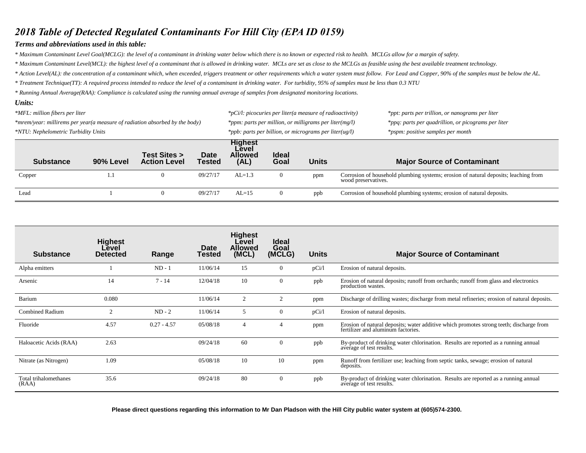### *2018 Table of Detected Regulated Contaminants For Hill City (EPA ID 0159)*

#### *Terms and abbreviations used in this table:*

*\* Maximum Contaminant Level Goal(MCLG): the level of a contaminant in drinking water below which there is no known or expected risk to health. MCLGs allow for a margin of safety.*

*\* Maximum Contaminant Level(MCL): the highest level of a contaminant that is allowed in drinking water. MCLs are set as close to the MCLGs as feasible using the best available treatment technology.*

\* Action Level(AL): the concentration of a contaminant which, when exceeded, triggers treatment or other requirements which a water system must follow. For Lead and Copper, 90% of the samples must be below the AL.

*\* Treatment Technique(TT): A required process intended to reduce the level of a contaminant in drinking water. For turbidity, 95% of samples must be less than 0.3 NTU*

*\* Running Annual Average(RAA): Compliance is calculated using the running annual average of samples from designated monitoring locations.* 

#### *Units:*

| *MFL: million fibers per liter                                              |           |                                     |                       | *pCi/l: picocuries per liter(a measure of radioactivity)   |                      |              | *ppt: parts per trillion, or nanograms per liter                                                           |  |
|-----------------------------------------------------------------------------|-----------|-------------------------------------|-----------------------|------------------------------------------------------------|----------------------|--------------|------------------------------------------------------------------------------------------------------------|--|
| *mrem/year: millirems per year(a measure of radiation absorbed by the body) |           |                                     |                       | *ppm: parts per million, or milligrams per liter( $mg/l$ ) |                      |              | *ppq: parts per quadrillion, or picograms per liter                                                        |  |
| *NTU: Nephelometric Turbidity Units                                         |           |                                     |                       | *ppb: parts per billion, or micrograms per liter(ug/l)     |                      |              | *pspm: positive samples per month                                                                          |  |
| <b>Substance</b>                                                            | 90% Level | Test Sites ><br><b>Action Level</b> | Date<br><b>Tested</b> | <b>Highest</b><br>Level<br><b>Allowed</b><br>(AL)          | <b>Ideal</b><br>Goal | <b>Units</b> | <b>Major Source of Contaminant</b>                                                                         |  |
| Copper                                                                      | 1.1       | $\theta$                            | 09/27/17              | $AL=1.3$                                                   | $\Omega$             | ppm          | Corrosion of household plumbing systems; erosion of natural deposits; leaching from<br>wood preservatives. |  |
| Lead                                                                        |           | $\mathbf{U}$                        | 09/27/17              | $AL=15$                                                    | $\Omega$             | ppb          | Corrosion of household plumbing systems; erosion of natural deposits.                                      |  |

| <b>Substance</b>               | <b>Highest</b><br>Level<br><b>Detected</b> | Range         | Date<br>Tested | <b>Highest</b><br>Level<br><b>Allowed</b><br>(MCL) | <b>Ideal</b><br>Goal<br>(MCLG) | Units | <b>Major Source of Contaminant</b>                                                                                            |
|--------------------------------|--------------------------------------------|---------------|----------------|----------------------------------------------------|--------------------------------|-------|-------------------------------------------------------------------------------------------------------------------------------|
| Alpha emitters                 |                                            | $ND - 1$      | 11/06/14       | 15                                                 | $\mathbf{0}$                   | pCi/1 | Erosion of natural deposits.                                                                                                  |
| Arsenic                        | 14                                         | $7 - 14$      | 12/04/18       | 10                                                 | $\theta$                       | ppb   | Erosion of natural deposits; runoff from orchards; runoff from glass and electronics<br>production wastes.                    |
| Barium                         | 0.080                                      |               | 11/06/14       | 2                                                  | 2                              | ppm   | Discharge of drilling wastes; discharge from metal refineries; erosion of natural deposits.                                   |
| <b>Combined Radium</b>         | $\overline{c}$                             | $ND - 2$      | 11/06/14       | 5                                                  | $\theta$                       | pCi/1 | Erosion of natural deposits.                                                                                                  |
| Fluoride                       | 4.57                                       | $0.27 - 4.57$ | 05/08/18       | $\overline{4}$                                     | $\overline{4}$                 | ppm   | Erosion of natural deposits; water additive which promotes strong teeth; discharge from<br>fertilizer and aluminum factories. |
| Haloacetic Acids (RAA)         | 2.63                                       |               | 09/24/18       | 60                                                 | $\theta$                       | ppb   | By-product of drinking water chlorination. Results are reported as a running annual<br>average of test results.               |
| Nitrate (as Nitrogen)          | 1.09                                       |               | 05/08/18       | 10                                                 | 10                             | ppm   | Runoff from fertilizer use; leaching from septic tanks, sewage; erosion of natural<br>deposits.                               |
| Total trihalomethanes<br>(RAA) | 35.6                                       |               | 09/24/18       | 80                                                 | $\mathbf{0}$                   | ppb   | By-product of drinking water chlorination. Results are reported as a running annual<br>average of test results.               |

**Please direct questions regarding this information to Mr Dan Pladson with the Hill City public water system at (605)574-2300.**